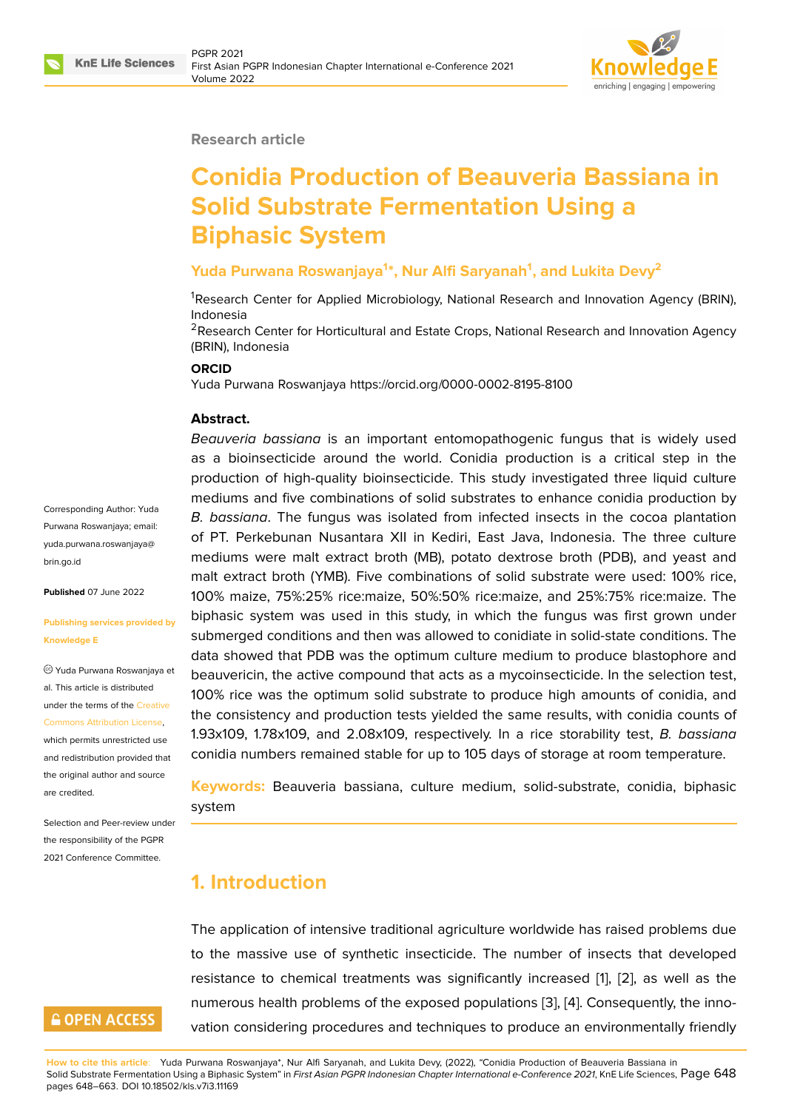

#### **Research article**

# **Conidia Production of Beauveria Bassiana in Solid Substrate Fermentation Using a Biphasic System**

#### **Yuda Purwana Roswanjaya<sup>1</sup> \*, Nur Alfi Saryanah<sup>1</sup> , and Lukita Devy<sup>2</sup>**

<sup>1</sup>Research Center for Applied Microbiology, National Research and Innovation Agency (BRIN), Indonesia

<sup>2</sup> Research Center for Horticultural and Estate Crops, National Research and Innovation Agency (BRIN), Indonesia

#### **ORCID**

Yuda Purwana Roswanjaya https://orcid.org/0000-0002-8195-8100

#### **Abstract.**

*Beauveria bassiana* is an important entomopathogenic fungus that is widely used as a bioinsecticide around the world. Conidia production is a critical step in the production of high-quality bioinsecticide. This study investigated three liquid culture mediums and five combinations of solid substrates to enhance conidia production by *B. bassiana*. The fungus was isolated from infected insects in the cocoa plantation of PT. Perkebunan Nusantara XII in Kediri, East Java, Indonesia. The three culture mediums were malt extract broth (MB), potato dextrose broth (PDB), and yeast and malt extract broth (YMB). Five combinations of solid substrate were used: 100% rice, 100% maize, 75%:25% rice:maize, 50%:50% rice:maize, and 25%:75% rice:maize. The biphasic system was used in this study, in which the fungus was first grown under submerged conditions and then was allowed to conidiate in solid-state conditions. The data showed that PDB was the optimum culture medium to produce blastophore and beauvericin, the active compound that acts as a mycoinsecticide. In the selection test, 100% rice was the optimum solid substrate to produce high amounts of conidia, and the consistency and production tests yielded the same results, with conidia counts of 1.93x109, 1.78x109, and 2.08x109, respectively. In a rice storability test, *B. bassiana* conidia numbers remained stable for up to 105 days of storage at room temperature.

**Keywords:** Beauveria bassiana, culture medium, solid-substrate, conidia, biphasic system

### **1. Introduction**

The application of intensive traditional agriculture worldwide has raised problems due to the massive use of synthetic insecticide. The number of insects that developed resistance to chemical treatments was significantly increased [1], [2], as well as the numerous health problems of the exposed populations [3], [4]. Consequently, the innovation considering procedures and techniques to produce an environmentally friendly

Corresponding Author: Yuda Purwana Roswanjaya; email: yuda.purwana.roswanjaya@ brin.go.id

**Published** 07 June 2022

#### **[Publishin](mailto:yuda.purwana.roswanjaya@brin.go.id)g services provided by Knowledge E**

Yuda Purwana Roswanjaya et al. This article is distributed under the terms of the Creative Commons Attribution License, which permits unrestricted use and redistribution provided that the original author and [source](https://creativecommons.org/licenses/by/4.0/)

Selection and Peer-review under the responsibility of the PGPR 2021 Conference Committee.

[are credited.](https://creativecommons.org/licenses/by/4.0/)

# **GOPEN ACCESS**

**How to cite this article**: Yuda Purwana Roswanjaya\*, Nur Alfi Saryanah, and Lukita Devy, (2022), "Conidia Production of Beauveria Bassiana in Solid Substrate Fermentation Using a Biphasic System" in *First Asian PGPR Indonesian Chapter International e-Conf[ere](#page-11-0)nc[e 2](#page-11-1)021*, KnE Life Sciences, Page 648 pages 648–663. DOI 10.18502/kls.v7i3.11169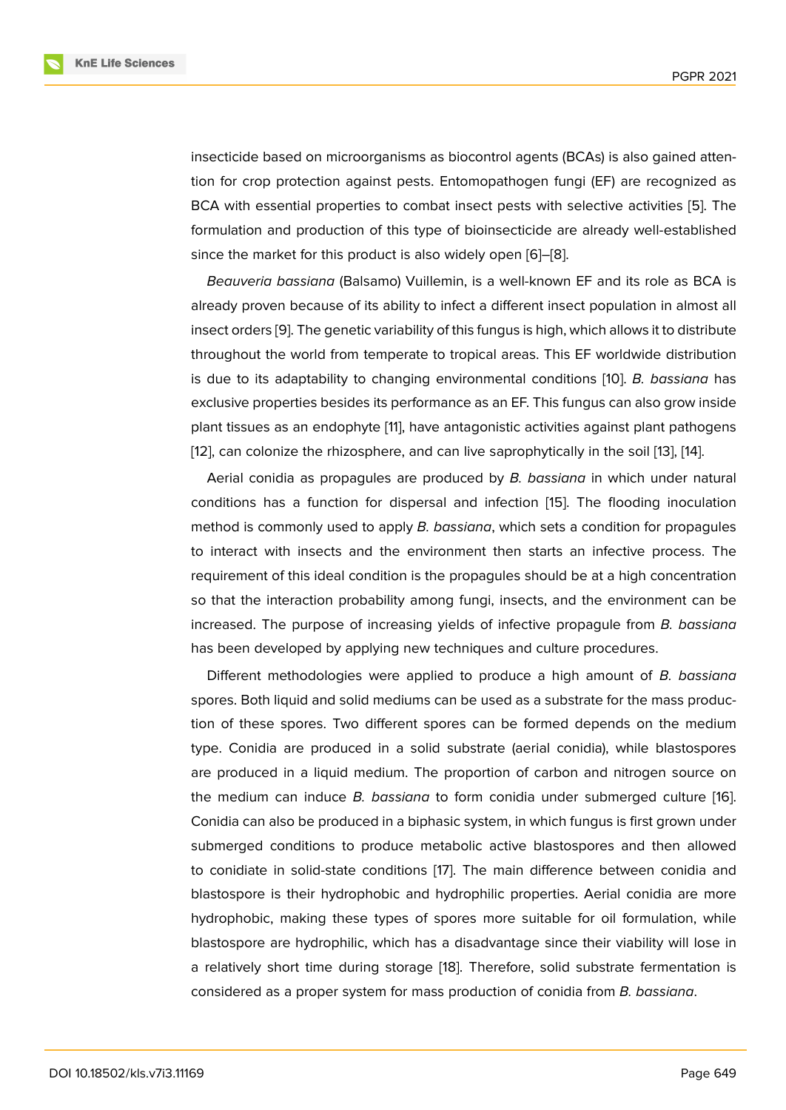insecticide based on microorganisms as biocontrol agents (BCAs) is also gained attention for crop protection against pests. Entomopathogen fungi (EF) are recognized as BCA with essential properties to combat insect pests with selective activities [5]. The formulation and production of this type of bioinsecticide are already well-established since the market for this product is also widely open [6]–[8].

*Beauveria bassiana* (Balsamo) Vuillemin, is a well-known EF and its role as [B](#page-11-2)CA is already proven because of its ability to infect a different insect population in almost all insect orders [9]. The genetic variability of this fungus i[s h](#page-12-0)i[gh](#page-12-1), which allows it to distribute throughout the world from temperate to tropical areas. This EF worldwide distribution is due to its adaptability to changing environmental conditions [10]. *B. bassiana* has exclusive pro[pe](#page-12-2)rties besides its performance as an EF. This fungus can also grow inside plant tissues as an endophyte [11], have antagonistic activities against plant pathogens [12], can colonize the rhizosphere, and can live saprophytically in [the](#page-12-3) soil [13], [14].

Aerial conidia as propagules are produced by *B. bassiana* in which under natural conditions has a function for [di](#page-12-4)spersal and infection [15]. The flooding inoculation [me](#page-12-5)thod is commonly used to apply *B. bassiana*, which sets a condition fo[r p](#page-12-6)r[opa](#page-12-7)gules to interact with insects and the environment then starts an infective process. The requirement of this ideal condition is the propagules sho[uld](#page-12-8) be at a high concentration so that the interaction probability among fungi, insects, and the environment can be increased. The purpose of increasing yields of infective propagule from *B. bassiana* has been developed by applying new techniques and culture procedures.

Different methodologies were applied to produce a high amount of *B. bassiana* spores. Both liquid and solid mediums can be used as a substrate for the mass production of these spores. Two different spores can be formed depends on the medium type. Conidia are produced in a solid substrate (aerial conidia), while blastospores are produced in a liquid medium. The proportion of carbon and nitrogen source on the medium can induce *B. bassiana* to form conidia under submerged culture [16]. Conidia can also be produced in a biphasic system, in which fungus is first grown under submerged conditions to produce metabolic active blastospores and then allowed to conidiate in solid-state conditions [17]. The main difference between conidia [and](#page-12-9) blastospore is their hydrophobic and hydrophilic properties. Aerial conidia are more hydrophobic, making these types of spores more suitable for oil formulation, while blastospore are hydrophilic, which ha[s a](#page-12-10) disadvantage since their viability will lose in a relatively short time during storage [18]. Therefore, solid substrate fermentation is considered as a proper system for mass production of conidia from *B. bassiana*.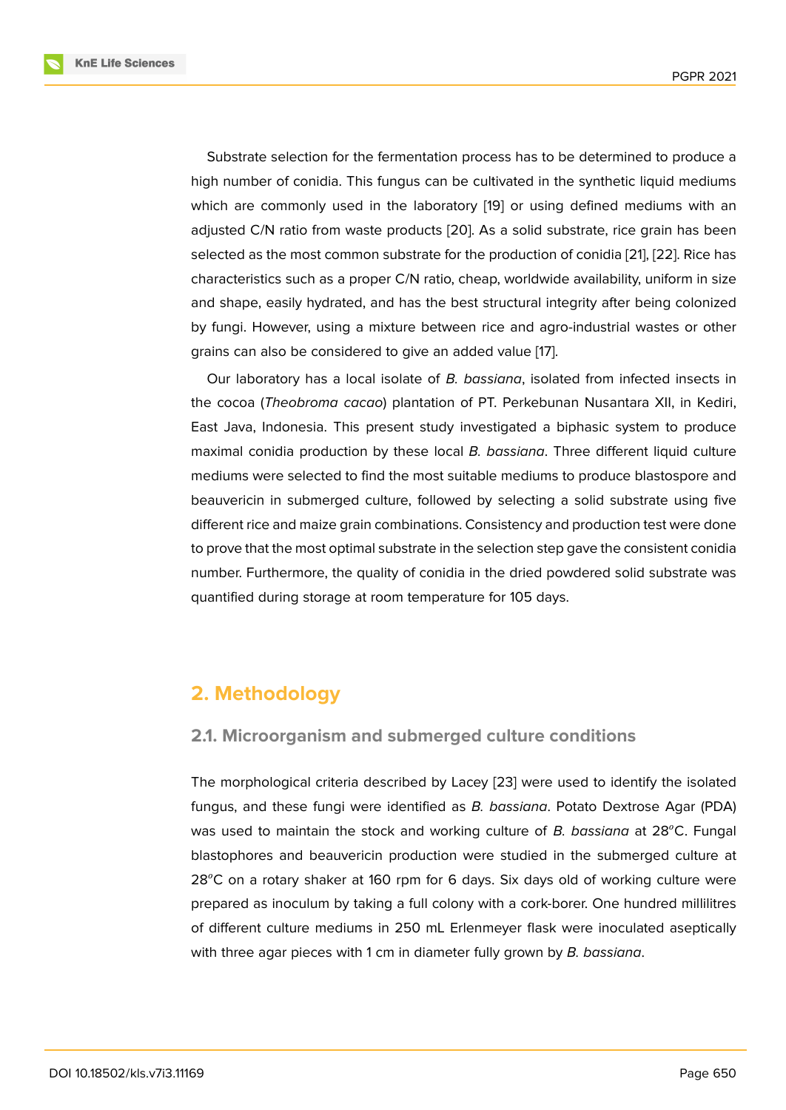Substrate selection for the fermentation process has to be determined to produce a high number of conidia. This fungus can be cultivated in the synthetic liquid mediums which are commonly used in the laboratory [19] or using defined mediums with an adjusted C/N ratio from waste products [20]. As a solid substrate, rice grain has been selected as the most common substrate for the production of conidia [21], [22]. Rice has characteristics such as a proper C/N ratio, che[ap,](#page-13-0) worldwide availability, uniform in size and shape, easily hydrated, and has the [bes](#page-13-1)t structural integrity after being colonized by fungi. However, using a mixture between rice and agro-industria[l w](#page-13-2)a[stes](#page-13-3) or other grains can also be considered to give an added value [17].

Our laboratory has a local isolate of *B. bassiana*, isolated from infected insects in the cocoa (*Theobroma cacao*) plantation of PT. Perkebunan Nusantara XII, in Kediri, East Java, Indonesia. This present study investigated [a](#page-12-10) biphasic system to produce maximal conidia production by these local *B. bassiana*. Three different liquid culture mediums were selected to find the most suitable mediums to produce blastospore and beauvericin in submerged culture, followed by selecting a solid substrate using five different rice and maize grain combinations. Consistency and production test were done to prove that the most optimal substrate in the selection step gave the consistent conidia number. Furthermore, the quality of conidia in the dried powdered solid substrate was quantified during storage at room temperature for 105 days.

# **2. Methodology**

#### **2.1. Microorganism and submerged culture conditions**

The morphological criteria described by Lacey [23] were used to identify the isolated fungus, and these fungi were identified as *B. bassiana*. Potato Dextrose Agar (PDA) was used to maintain the stock and working culture of *B. bassiana* at 28<sup>o</sup>C. Fungal blastophores and beauvericin production were [stu](#page-13-4)died in the submerged culture at  $28^{\circ}$ C on a rotary shaker at 160 rpm for 6 days. Six days old of working culture were prepared as inoculum by taking a full colony with a cork-borer. One hundred millilitres of different culture mediums in 250 mL Erlenmeyer flask were inoculated aseptically with three agar pieces with 1 cm in diameter fully grown by *B. bassiana*.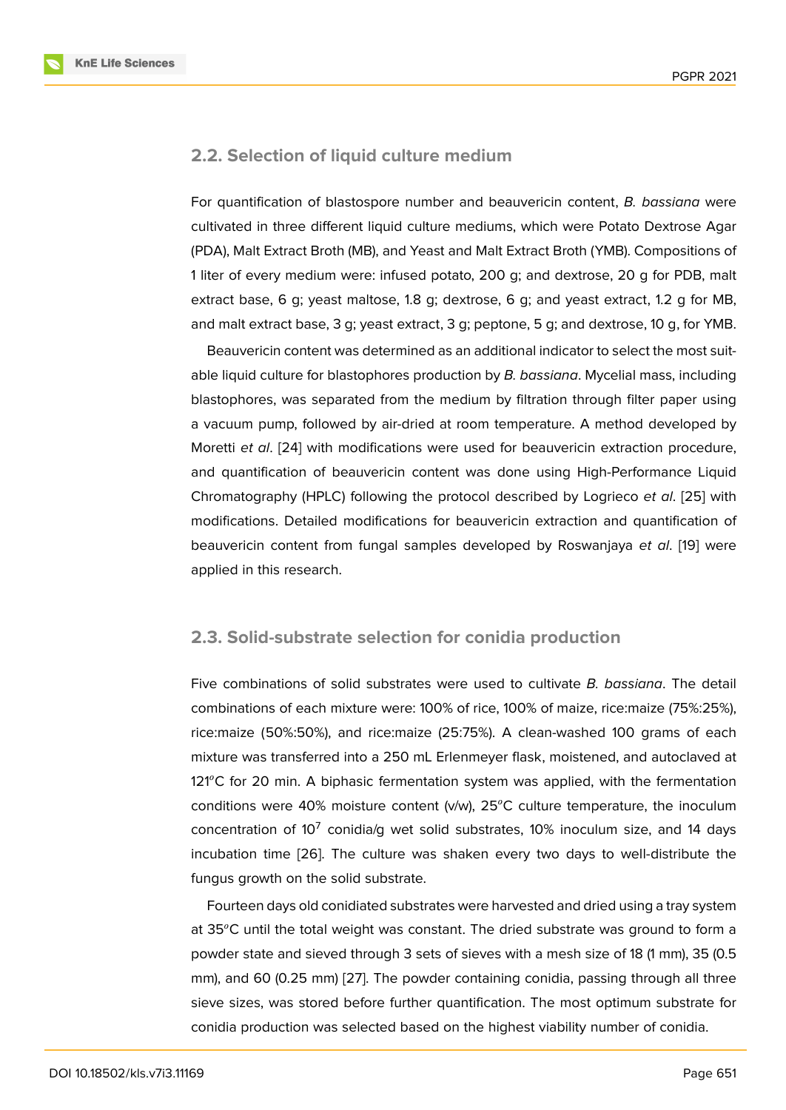#### **2.2. Selection of liquid culture medium**

For quantification of blastospore number and beauvericin content, *B. bassiana* were cultivated in three different liquid culture mediums, which were Potato Dextrose Agar (PDA), Malt Extract Broth (MB), and Yeast and Malt Extract Broth (YMB). Compositions of 1 liter of every medium were: infused potato, 200 g; and dextrose, 20 g for PDB, malt extract base, 6 g; yeast maltose, 1.8 g; dextrose, 6 g; and yeast extract, 1.2 g for MB, and malt extract base, 3 g; yeast extract, 3 g; peptone, 5 g; and dextrose, 10 g, for YMB.

Beauvericin content was determined as an additional indicator to select the most suitable liquid culture for blastophores production by *B. bassiana*. Mycelial mass, including blastophores, was separated from the medium by filtration through filter paper using a vacuum pump, followed by air-dried at room temperature. A method developed by Moretti *et al*. [24] with modifications were used for beauvericin extraction procedure, and quantification of beauvericin content was done using High-Performance Liquid Chromatography (HPLC) following the protocol described by Logrieco *et al*. [25] with modifications. [De](#page-13-5)tailed modifications for beauvericin extraction and quantification of beauvericin content from fungal samples developed by Roswanjaya *et al*. [19] were applied in this research.

#### **2.3. Solid-substrate selection for conidia production**

Five combinations of solid substrates were used to cultivate *B. bassiana*. The detail combinations of each mixture were: 100% of rice, 100% of maize, rice:maize (75%:25%), rice:maize (50%:50%), and rice:maize (25:75%). A clean-washed 100 grams of each mixture was transferred into a 250 mL Erlenmeyer flask, moistened, and autoclaved at 121 $^{\circ}$ C for 20 min. A biphasic fermentation system was applied, with the fermentation conditions were 40% moisture content (v/w),  $25^{\circ}$ C culture temperature, the inoculum concentration of 10<sup>7</sup> conidia/g wet solid substrates, 10% inoculum size, and 14 days incubation time [26]. The culture was shaken every two days to well-distribute the fungus growth on the solid substrate.

Fourteen days old conidiated substrates were harvested and dried using a tray system at  $35^{\circ}$ C until the [tota](#page-13-6)l weight was constant. The dried substrate was ground to form a powder state and sieved through 3 sets of sieves with a mesh size of 18 (1 mm), 35 (0.5 mm), and 60 (0.25 mm) [27]. The powder containing conidia, passing through all three sieve sizes, was stored before further quantification. The most optimum substrate for conidia production was selected based on the highest viability number of conidia.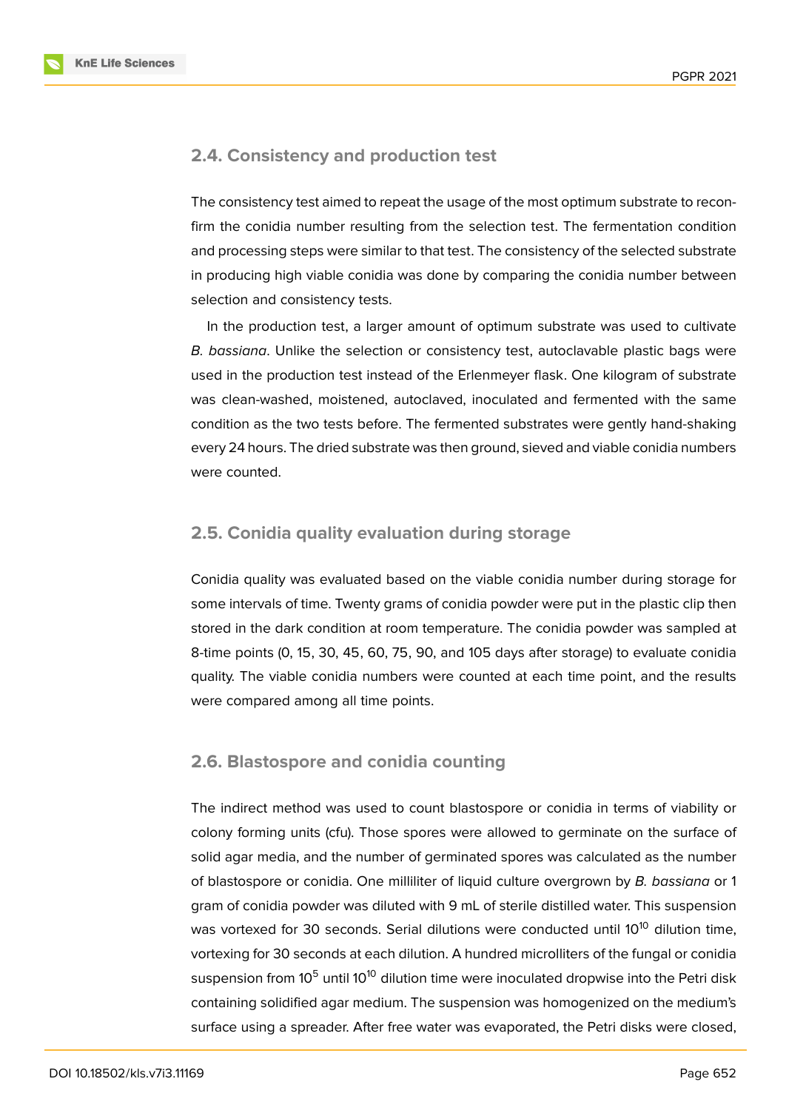

#### **2.4. Consistency and production test**

The consistency test aimed to repeat the usage of the most optimum substrate to reconfirm the conidia number resulting from the selection test. The fermentation condition and processing steps were similar to that test. The consistency of the selected substrate in producing high viable conidia was done by comparing the conidia number between selection and consistency tests.

In the production test, a larger amount of optimum substrate was used to cultivate *B. bassiana*. Unlike the selection or consistency test, autoclavable plastic bags were used in the production test instead of the Erlenmeyer flask. One kilogram of substrate was clean-washed, moistened, autoclaved, inoculated and fermented with the same condition as the two tests before. The fermented substrates were gently hand-shaking every 24 hours. The dried substrate was then ground, sieved and viable conidia numbers were counted.

#### **2.5. Conidia quality evaluation during storage**

Conidia quality was evaluated based on the viable conidia number during storage for some intervals of time. Twenty grams of conidia powder were put in the plastic clip then stored in the dark condition at room temperature. The conidia powder was sampled at 8-time points (0, 15, 30, 45, 60, 75, 90, and 105 days after storage) to evaluate conidia quality. The viable conidia numbers were counted at each time point, and the results were compared among all time points.

#### **2.6. Blastospore and conidia counting**

The indirect method was used to count blastospore or conidia in terms of viability or colony forming units (cfu). Those spores were allowed to germinate on the surface of solid agar media, and the number of germinated spores was calculated as the number of blastospore or conidia. One milliliter of liquid culture overgrown by *B. bassiana* or 1 gram of conidia powder was diluted with 9 mL of sterile distilled water. This suspension was vortexed for 30 seconds. Serial dilutions were conducted until  $10^{10}$  dilution time, vortexing for 30 seconds at each dilution. A hundred microlliters of the fungal or conidia suspension from 10<sup>5</sup> until 10<sup>10</sup> dilution time were inoculated dropwise into the Petri disk containing solidified agar medium. The suspension was homogenized on the medium's surface using a spreader. After free water was evaporated, the Petri disks were closed,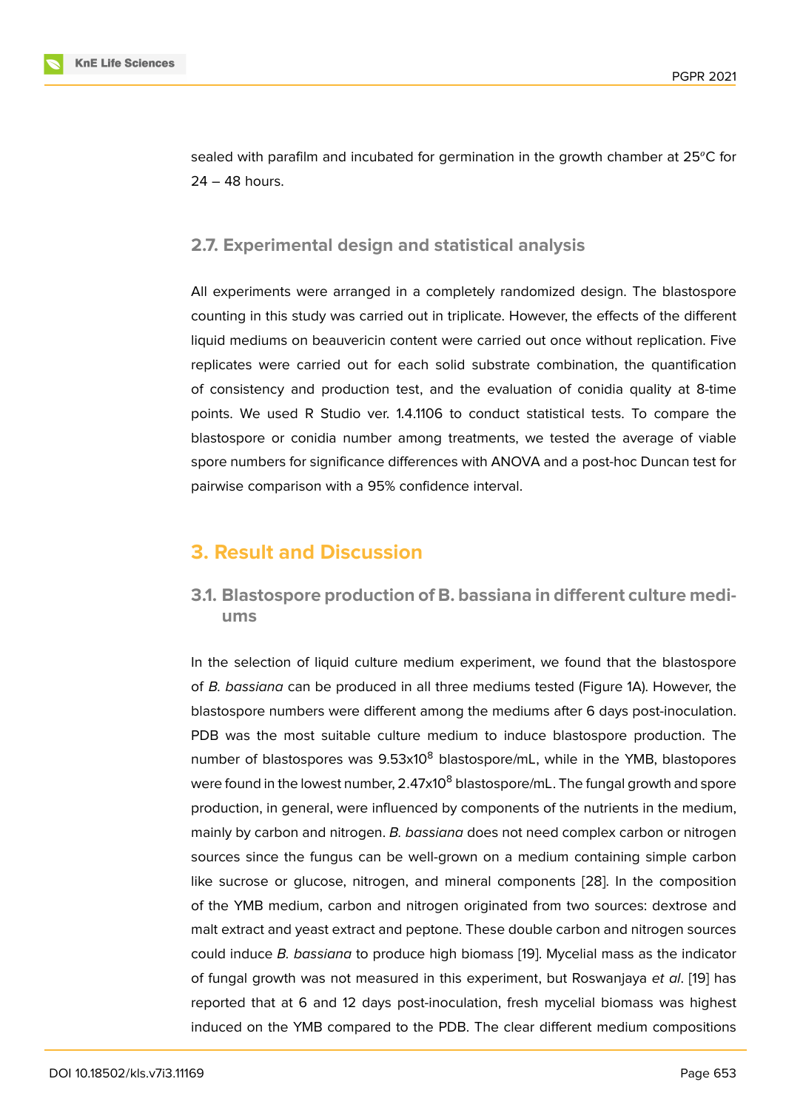sealed with parafilm and incubated for germination in the growth chamber at 25<sup>o</sup>C for 24 – 48 hours.

### **2.7. Experimental design and statistical analysis**

All experiments were arranged in a completely randomized design. The blastospore counting in this study was carried out in triplicate. However, the effects of the different liquid mediums on beauvericin content were carried out once without replication. Five replicates were carried out for each solid substrate combination, the quantification of consistency and production test, and the evaluation of conidia quality at 8-time points. We used R Studio ver. 1.4.1106 to conduct statistical tests. To compare the blastospore or conidia number among treatments, we tested the average of viable spore numbers for significance differences with ANOVA and a post-hoc Duncan test for pairwise comparison with a 95% confidence interval.

# **3. Result and Discussion**

**3.1. Blastospore production of B. bassiana in different culture mediums**

In the selection of liquid culture medium experiment, we found that the blastospore of *B. bassiana* can be produced in all three mediums tested (Figure 1A). However, the blastospore numbers were different among the mediums after 6 days post-inoculation. PDB was the most suitable culture medium to induce blastospore production. The number of blastospores was  $9.53 \times 10^8$  blastospore/mL, while in the [Y](#page-6-0)MB, blastopores were found in the lowest number,  $2.47x10<sup>8</sup>$  blastospore/mL. The fungal growth and spore production, in general, were influenced by components of the nutrients in the medium, mainly by carbon and nitrogen. *B. bassiana* does not need complex carbon or nitrogen sources since the fungus can be well-grown on a medium containing simple carbon like sucrose or glucose, nitrogen, and mineral components [28]. In the composition of the YMB medium, carbon and nitrogen originated from two sources: dextrose and malt extract and yeast extract and peptone. These double carbon and nitrogen sources could induce *B. bassiana* to produce high biomass [19]. Mycel[ial m](#page-13-7)ass as the indicator of fungal growth was not measured in this experiment, but Roswanjaya *et al*. [19] has reported that at 6 and 12 days post-inoculation, fresh mycelial biomass was highest induced on the YMB compared to the PDB. The cle[ar](#page-13-0) different medium compositions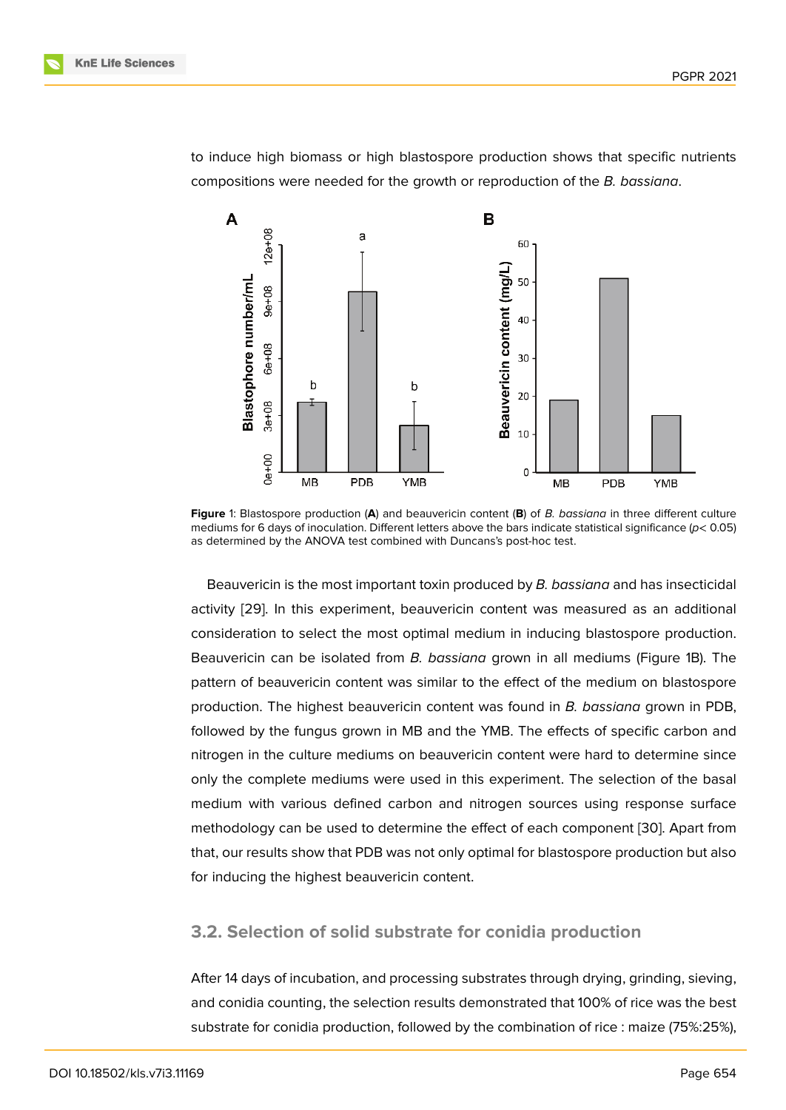to induce high biomass or high blastospore production shows that specific nutrients compositions were needed for the growth or reproduction of the *B. bassiana*.



**Figure** 1: Blastospore production (**A**) and beauvericin content (**B**) of *B. bassiana* in three different culture mediums for 6 days of inoculation. Different letters above the bars indicate statistical significance (*p*< 0.05) as determined by the ANOVA test combined with Duncans's post-hoc test.

<span id="page-6-0"></span>Beauvericin is the most important toxin produced by *B. bassiana* and has insecticidal activity [29]. In this experiment, beauvericin content was measured as an additional consideration to select the most optimal medium in inducing blastospore production. Beauvericin can be isolated from *B. bassiana* grown in all mediums (Figure 1B). The pattern [of b](#page-13-8)eauvericin content was similar to the effect of the medium on blastospore production. The highest beauvericin content was found in *B. bassiana* grown in PDB, followed by the fungus grown in MB and the YMB. The effects of specific car[b](#page-6-0)on and nitrogen in the culture mediums on beauvericin content were hard to determine since only the complete mediums were used in this experiment. The selection of the basal medium with various defined carbon and nitrogen sources using response surface methodology can be used to determine the effect of each component [30]. Apart from that, our results show that PDB was not only optimal for blastospore production but also for inducing the highest beauvericin content.

#### **3.2. Selection of solid substrate for conidia production**

After 14 days of incubation, and processing substrates through drying, grinding, sieving, and conidia counting, the selection results demonstrated that 100% of rice was the best substrate for conidia production, followed by the combination of rice : maize (75%:25%),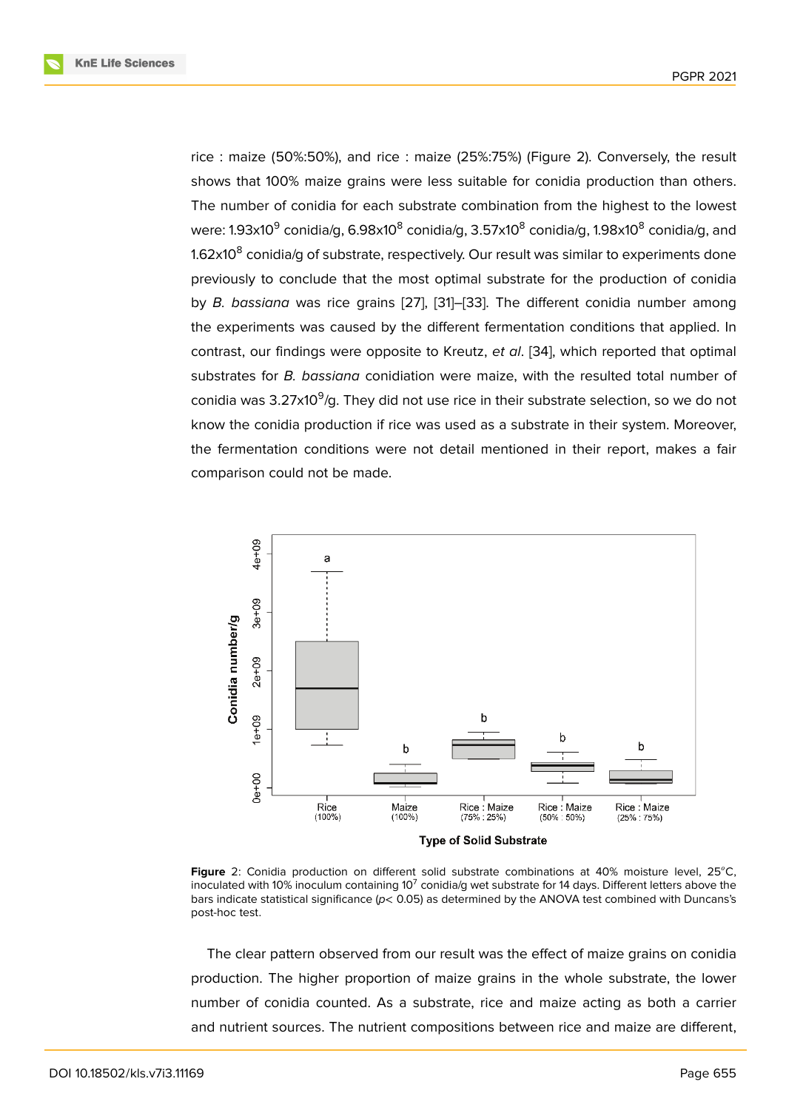rice : maize (50%:50%), and rice : maize (25%:75%) (Figure 2). Conversely, the result shows that 100% maize grains were less suitable for conidia production than others. The number of conidia for each substrate combination from the highest to the lowest were: 1.93x10<sup>9</sup> conidia[/g](#page-7-0), 6.98x10<sup>8</sup> conidia/g, 3.57x10<sup>8</sup> conidia/g, 1.98x10<sup>8</sup> conidia/g, and 1.62x10 $^{\rm 8}$  conidia/g of substrate, respectively. Our result was similar to experiments done previously to conclude that the most optimal substrate for the production of conidia by *B. bassiana* was rice grains [27], [31]–[33]. The different conidia number among the experiments was caused by the different fermentation conditions that applied. In contrast, our findings were opposite to Kreutz, *et al*. [34], which reported that optimal substrates for *B. bassiana* conidi[atio](#page-13-9)n [we](#page-14-0)r[e m](#page-14-1)aize, with the resulted total number of conidia was 3.27x10<sup>9</sup>/g. They did not use rice in their substrate selection, so we do not know the conidia production if rice was used as a su[bstr](#page-14-2)ate in their system. Moreover, the fermentation conditions were not detail mentioned in their report, makes a fair comparison could not be made.



Figure 2: Conidia production on different solid substrate combinations at 40% moisture level, 25°C, inoculated with 10% inoculum containing 10 $^7$  conidia/g wet substrate for 14 days. Different letters above the bars indicate statistical significance (*p*< 0.05) as determined by the ANOVA test combined with Duncans's post-hoc test.

<span id="page-7-0"></span>The clear pattern observed from our result was the effect of maize grains on conidia production. The higher proportion of maize grains in the whole substrate, the lower number of conidia counted. As a substrate, rice and maize acting as both a carrier and nutrient sources. The nutrient compositions between rice and maize are different,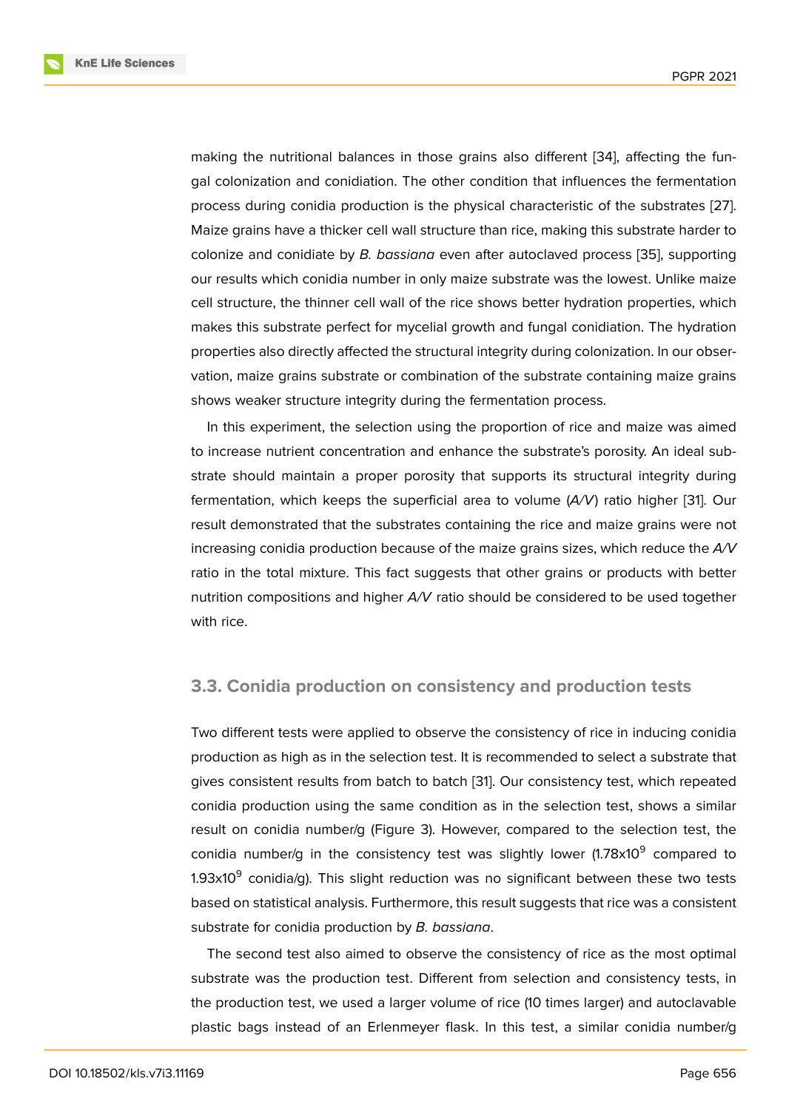making the nutritional balances in those grains also different [34], affecting the fungal colonization and conidiation. The other condition that influences the fermentation process during conidia production is the physical characteristic of the substrates [27]. Maize grains have a thicker cell wall structure than rice, making t[his](#page-14-2) substrate harder to colonize and conidiate by *B. bassiana* even after autoclaved process [35], supporting our results which conidia number in only maize substrate was the lowest. Unlike m[aize](#page-13-9) cell structure, the thinner cell wall of the rice shows better hydration properties, which makes this substrate perfect for mycelial growth and fungal conidiatio[n. T](#page-14-3)he hydration properties also directly affected the structural integrity during colonization. In our observation, maize grains substrate or combination of the substrate containing maize grains shows weaker structure integrity during the fermentation process.

In this experiment, the selection using the proportion of rice and maize was aimed to increase nutrient concentration and enhance the substrate's porosity. An ideal substrate should maintain a proper porosity that supports its structural integrity during fermentation, which keeps the superficial area to volume (*A/V*) ratio higher [31]. Our result demonstrated that the substrates containing the rice and maize grains were not increasing conidia production because of the maize grains sizes, which reduce the *A/V* ratio in the total mixture. This fact suggests that other grains or products wit[h b](#page-14-0)etter nutrition compositions and higher *A/V* ratio should be considered to be used together with rice.

### **3.3. Conidia production on consistency and production tests**

Two different tests were applied to observe the consistency of rice in inducing conidia production as high as in the selection test. It is recommended to select a substrate that gives consistent results from batch to batch [31]. Our consistency test, which repeated conidia production using the same condition as in the selection test, shows a similar result on conidia number/g (Figure 3). However, compared to the selection test, the conidia number/g in the consistency test [was](#page-14-0) slightly lower (1.78x10<sup>9</sup> compared to 1.93x10 $^9$  conidia/g). This slight reduction was no significant between these two tests based on statistical analysis. Further[m](#page-9-0)ore, this result suggests that rice was a consistent substrate for conidia production by *B. bassiana*.

The second test also aimed to observe the consistency of rice as the most optimal substrate was the production test. Different from selection and consistency tests, in the production test, we used a larger volume of rice (10 times larger) and autoclavable plastic bags instead of an Erlenmeyer flask. In this test, a similar conidia number/g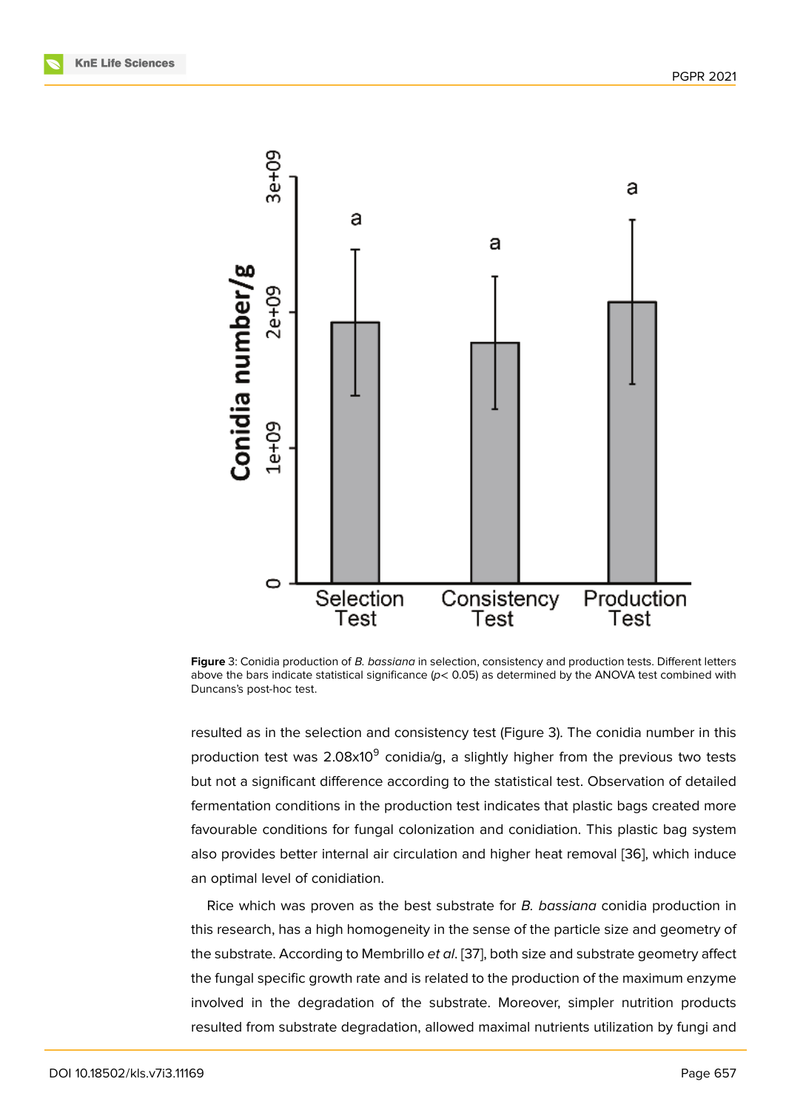

**Figure** 3: Conidia production of *B. bassiana* in selection, consistency and production tests. Different letters above the bars indicate statistical significance (*p*< 0.05) as determined by the ANOVA test combined with Duncans's post-hoc test.

<span id="page-9-0"></span>resulted as in the selection and consistency test (Figure 3). The conidia number in this production test was 2.08x10 $^9$  conidia/g, a slightly higher from the previous two tests but not a significant difference according to the statistical test. Observation of detailed fermentation conditions in the production test indicates t[ha](#page-9-0)t plastic bags created more favourable conditions for fungal colonization and conidiation. This plastic bag system also provides better internal air circulation and higher heat removal [36], which induce an optimal level of conidiation.

Rice which was proven as the best substrate for *B. bassiana* conidia production in this research, has a high homogeneity in the sense of the particle siz[e an](#page-14-4)d geometry of the substrate. According to Membrillo *et al*. [37], both size and substrate geometry affect the fungal specific growth rate and is related to the production of the maximum enzyme involved in the degradation of the substrate. Moreover, simpler nutrition products resulted from substrate degradation, allow[ed m](#page-14-5)aximal nutrients utilization by fungi and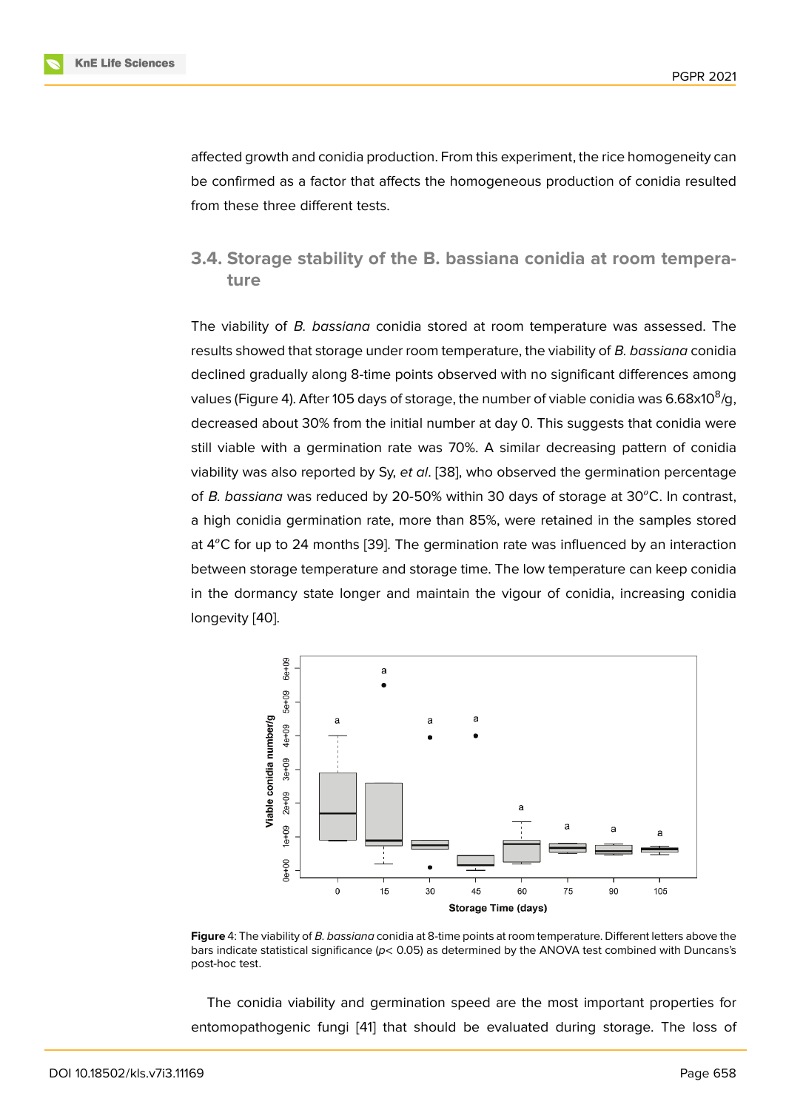affected growth and conidia production. From this experiment, the rice homogeneity can be confirmed as a factor that affects the homogeneous production of conidia resulted from these three different tests.

### **3.4. Storage stability of the B. bassiana conidia at room temperature**

The viability of *B. bassiana* conidia stored at room temperature was assessed. The results showed that storage under room temperature, the viability of *B. bassiana* conidia declined gradually along 8-time points observed with no significant differences among values (Figure 4). After 105 days of storage, the number of viable conidia was 6.68x10 $^{\rm 8}$ /g, decreased about 30% from the initial number at day 0. This suggests that conidia were still viable with a germination rate was 70%. A similar decreasing pattern of conidia viability was a[lso](#page-10-0) reported by Sy, *et al*. [38], who observed the germination percentage of *B. bassiana* was reduced by 20-50% within 30 days of storage at 30°C. In contrast, a high conidia germination rate, more than 85%, were retained in the samples stored at  $4^{\circ}$ C for up to 24 months [39]. The g[erm](#page-14-6)ination rate was influenced by an interaction between storage temperature and storage time. The low temperature can keep conidia in the dormancy state longer and maintain the vigour of conidia, increasing conidia longevity [40].



**Figure** 4: The viability of *B. bassiana* conidia at 8-time points at room temperature. Different letters above the bars indicate statistical significance (*p*< 0.05) as determined by the ANOVA test combined with Duncans's post-hoc test.

<span id="page-10-0"></span>The conidia viability and germination speed are the most important properties for entomopathogenic fungi [41] that should be evaluated during storage. The loss of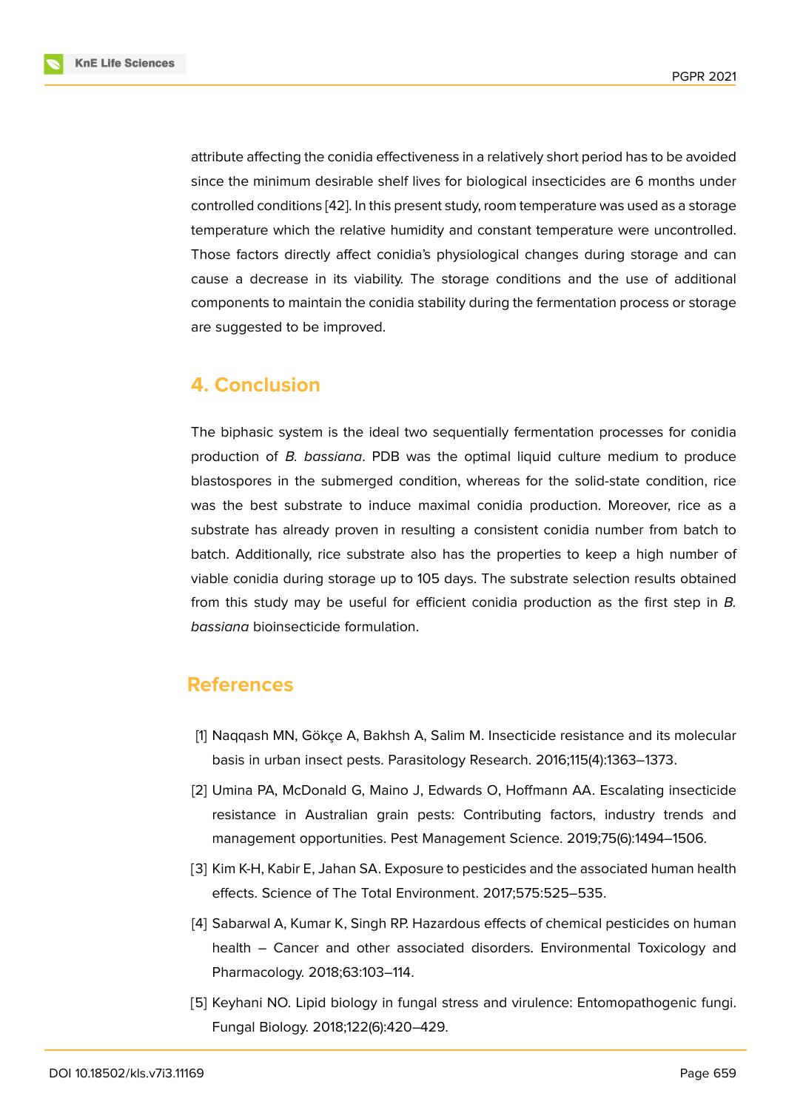attribute affecting the conidia effectiveness in a relatively short period has to be avoided since the minimum desirable shelf lives for biological insecticides are 6 months under controlled conditions [42]. In this present study, room temperature was used as a storage temperature which the relative humidity and constant temperature were uncontrolled. Those factors directly affect conidia's physiological changes during storage and can cause a decrease in [its](#page-15-0) viability. The storage conditions and the use of additional components to maintain the conidia stability during the fermentation process or storage are suggested to be improved.

## **4. Conclusion**

The biphasic system is the ideal two sequentially fermentation processes for conidia production of *B. bassiana*. PDB was the optimal liquid culture medium to produce blastospores in the submerged condition, whereas for the solid-state condition, rice was the best substrate to induce maximal conidia production. Moreover, rice as a substrate has already proven in resulting a consistent conidia number from batch to batch. Additionally, rice substrate also has the properties to keep a high number of viable conidia during storage up to 105 days. The substrate selection results obtained from this study may be useful for efficient conidia production as the first step in *B. bassiana* bioinsecticide formulation.

### **References**

- [1] Naqqash MN, Gökçe A, Bakhsh A, Salim M. Insecticide resistance and its molecular basis in urban insect pests. Parasitology Research. 2016;115(4):1363–1373.
- [2] Umina PA, McDonald G, Maino J, Edwards O, Hoffmann AA. Escalating insecticide resistance in Australian grain pests: Contributing factors, industry trends and management opportunities. Pest Management Science. 2019;75(6):1494–1506.
- [3] Kim K-H, Kabir E, Jahan SA. Exposure to pesticides and the associated human health effects. Science of The Total Environment. 2017;575:525–535.
- <span id="page-11-0"></span>[4] Sabarwal A, Kumar K, Singh RP. Hazardous effects of chemical pesticides on human health – Cancer and other associated disorders. Environmental Toxicology and Pharmacology. 2018;63:103–114.
- <span id="page-11-2"></span><span id="page-11-1"></span>[5] Keyhani NO. Lipid biology in fungal stress and virulence: Entomopathogenic fungi. Fungal Biology. 2018;122(6):420–429.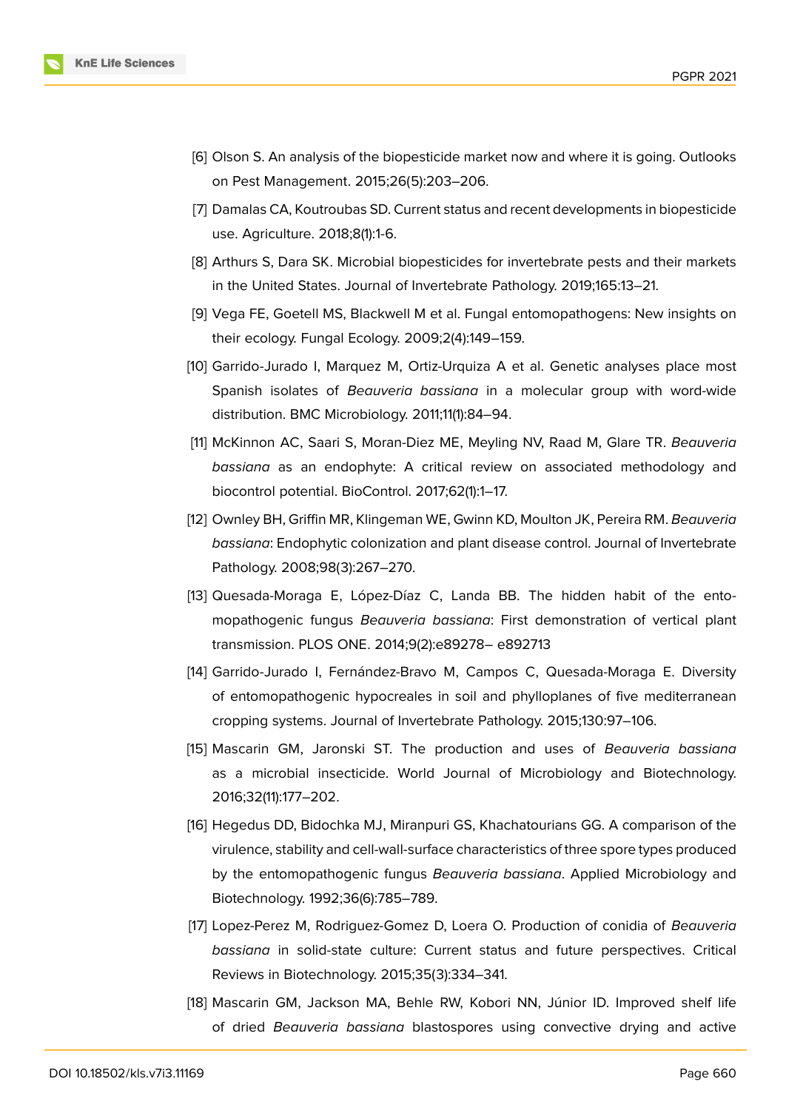

- <span id="page-12-0"></span>[6] Olson S. An analysis of the biopesticide market now and where it is going. Outlooks on Pest Management. 2015;26(5):203–206.
- [7] Damalas CA, Koutroubas SD. Current status and recent developments in biopesticide use. Agriculture. 2018;8(1):1-6.
- <span id="page-12-1"></span>[8] Arthurs S, Dara SK. Microbial biopesticides for invertebrate pests and their markets in the United States. Journal of Invertebrate Pathology. 2019;165:13–21.
- <span id="page-12-2"></span>[9] Vega FE, Goetell MS, Blackwell M et al. Fungal entomopathogens: New insights on their ecology. Fungal Ecology. 2009;2(4):149–159.
- <span id="page-12-3"></span>[10] Garrido-Jurado I, Marquez M, Ortiz-Urquiza A et al. Genetic analyses place most Spanish isolates of *Beauveria bassiana* in a molecular group with word-wide distribution. BMC Microbiology. 2011;11(1):84–94.
- <span id="page-12-4"></span>[11] McKinnon AC, Saari S, Moran-Diez ME, Meyling NV, Raad M, Glare TR. *Beauveria bassiana* as an endophyte: A critical review on associated methodology and biocontrol potential. BioControl. 2017;62(1):1–17.
- <span id="page-12-5"></span>[12] Ownley BH, Griffin MR, Klingeman WE, Gwinn KD, Moulton JK, Pereira RM. *Beauveria bassiana*: Endophytic colonization and plant disease control. Journal of Invertebrate Pathology. 2008;98(3):267–270.
- <span id="page-12-6"></span>[13] Quesada-Moraga E, López-Díaz C, Landa BB. The hidden habit of the entomopathogenic fungus *Beauveria bassiana*: First demonstration of vertical plant transmission. PLOS ONE. 2014;9(2):e89278– e892713
- <span id="page-12-7"></span>[14] Garrido-Jurado I, Fernández-Bravo M, Campos C, Quesada-Moraga E. Diversity of entomopathogenic hypocreales in soil and phylloplanes of five mediterranean cropping systems. Journal of Invertebrate Pathology. 2015;130:97–106.
- <span id="page-12-8"></span>[15] Mascarin GM, Jaronski ST. The production and uses of *Beauveria bassiana* as a microbial insecticide. World Journal of Microbiology and Biotechnology. 2016;32(11):177–202.
- <span id="page-12-9"></span>[16] Hegedus DD, Bidochka MJ, Miranpuri GS, Khachatourians GG. A comparison of the virulence, stability and cell-wall-surface characteristics of three spore types produced by the entomopathogenic fungus *Beauveria bassiana*. Applied Microbiology and Biotechnology. 1992;36(6):785–789.
- <span id="page-12-10"></span>[17] Lopez-Perez M, Rodriguez-Gomez D, Loera O. Production of conidia of *Beauveria bassiana* in solid-state culture: Current status and future perspectives. Critical Reviews in Biotechnology. 2015;35(3):334–341.
- [18] Mascarin GM, Jackson MA, Behle RW, Kobori NN, Júnior ID. Improved shelf life of dried *Beauveria bassiana* blastospores using convective drying and active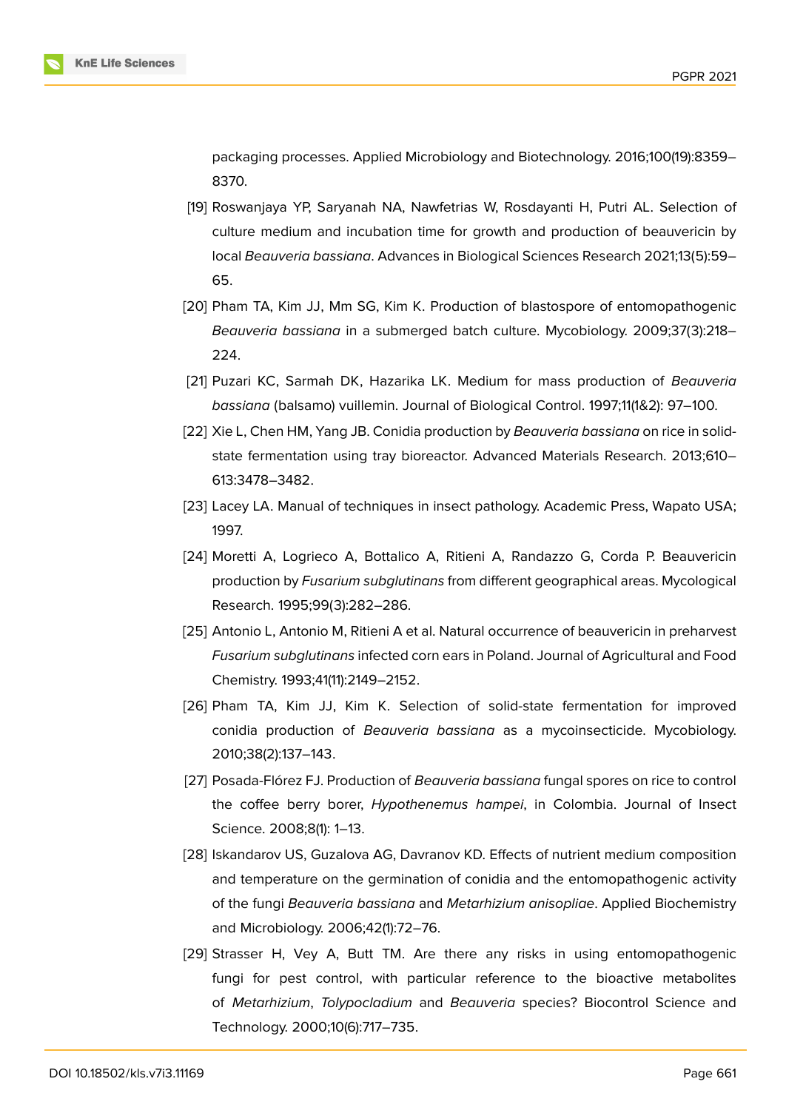packaging processes. Applied Microbiology and Biotechnology. 2016;100(19):8359– 8370.

- <span id="page-13-0"></span>[19] Roswanjaya YP, Saryanah NA, Nawfetrias W, Rosdayanti H, Putri AL. Selection of culture medium and incubation time for growth and production of beauvericin by local *Beauveria bassiana*. Advances in Biological Sciences Research 2021;13(5):59– 65.
- <span id="page-13-1"></span>[20] Pham TA, Kim JJ, Mm SG, Kim K. Production of blastospore of entomopathogenic *Beauveria bassiana* in a submerged batch culture. Mycobiology. 2009;37(3):218– 224.
- <span id="page-13-2"></span>[21] Puzari KC, Sarmah DK, Hazarika LK. Medium for mass production of *Beauveria bassiana* (balsamo) vuillemin. Journal of Biological Control. 1997;11(1&2): 97–100.
- <span id="page-13-3"></span>[22] Xie L, Chen HM, Yang JB. Conidia production by *Beauveria bassiana* on rice in solidstate fermentation using tray bioreactor. Advanced Materials Research. 2013;610– 613:3478–3482.
- <span id="page-13-4"></span>[23] Lacey LA. Manual of techniques in insect pathology. Academic Press, Wapato USA; 1997.
- <span id="page-13-5"></span>[24] Moretti A, Logrieco A, Bottalico A, Ritieni A, Randazzo G, Corda P. Beauvericin production by *Fusarium subglutinans* from different geographical areas. Mycological Research. 1995;99(3):282–286.
- [25] Antonio L, Antonio M, Ritieni A et al. Natural occurrence of beauvericin in preharvest *Fusarium subglutinans* infected corn ears in Poland. Journal of Agricultural and Food Chemistry. 1993;41(11):2149–2152.
- <span id="page-13-6"></span>[26] Pham TA, Kim JJ, Kim K. Selection of solid-state fermentation for improved conidia production of *Beauveria bassiana* as a mycoinsecticide. Mycobiology. 2010;38(2):137–143.
- <span id="page-13-9"></span>[27] Posada-Flórez FJ. Production of *Beauveria bassiana* fungal spores on rice to control the coffee berry borer, *Hypothenemus hampei*, in Colombia. Journal of Insect Science. 2008;8(1): 1–13.
- <span id="page-13-7"></span>[28] Iskandarov US, Guzalova AG, Davranov KD. Effects of nutrient medium composition and temperature on the germination of conidia and the entomopathogenic activity of the fungi *Beauveria bassiana* and *Metarhizium anisopliae*. Applied Biochemistry and Microbiology. 2006;42(1):72–76.
- <span id="page-13-8"></span>[29] Strasser H, Vey A, Butt TM. Are there any risks in using entomopathogenic fungi for pest control, with particular reference to the bioactive metabolites of *Metarhizium*, *Tolypocladium* and *Beauveria* species? Biocontrol Science and Technology. 2000;10(6):717–735.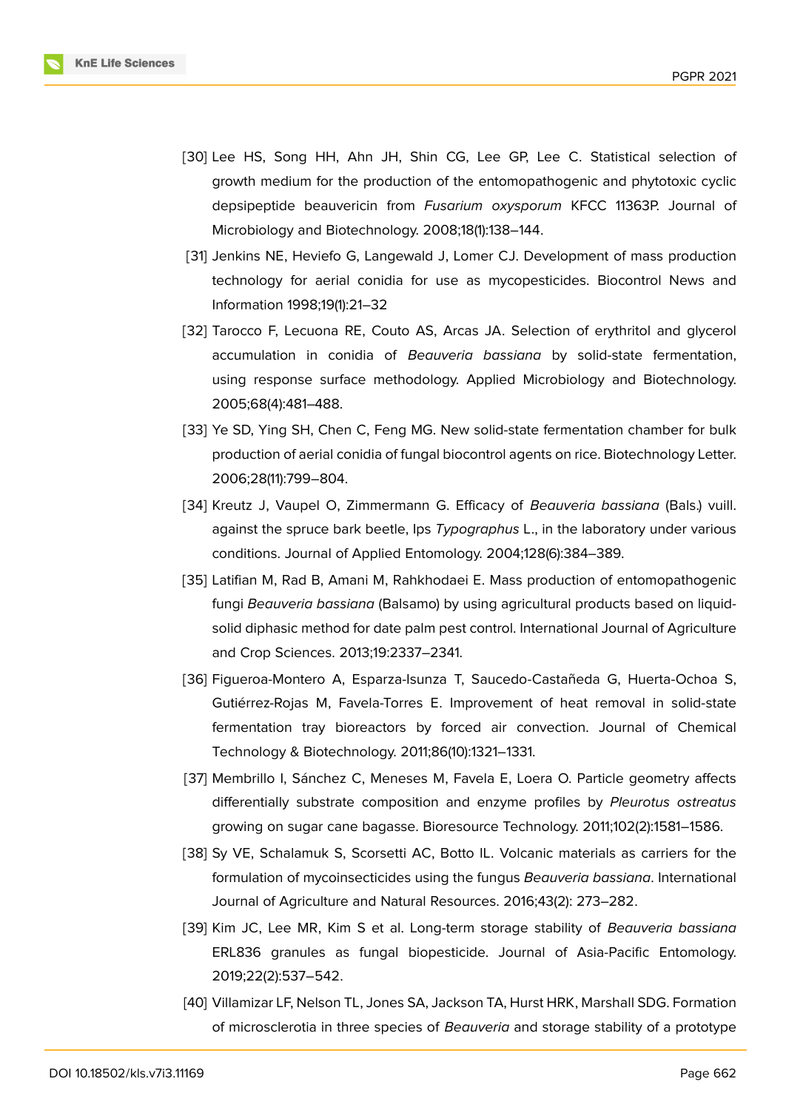

- [30] Lee HS, Song HH, Ahn JH, Shin CG, Lee GP, Lee C. Statistical selection of growth medium for the production of the entomopathogenic and phytotoxic cyclic depsipeptide beauvericin from *Fusarium oxysporum* KFCC 11363P. Journal of Microbiology and Biotechnology. 2008;18(1):138–144.
- <span id="page-14-0"></span>[31] Jenkins NE, Heviefo G, Langewald J, Lomer CJ. Development of mass production technology for aerial conidia for use as mycopesticides. Biocontrol News and Information 1998;19(1):21–32
- [32] Tarocco F, Lecuona RE, Couto AS, Arcas JA. Selection of erythritol and glycerol accumulation in conidia of *Beauveria bassiana* by solid-state fermentation, using response surface methodology. Applied Microbiology and Biotechnology. 2005;68(4):481–488.
- <span id="page-14-1"></span>[33] Ye SD, Ying SH, Chen C, Feng MG. New solid-state fermentation chamber for bulk production of aerial conidia of fungal biocontrol agents on rice. Biotechnology Letter. 2006;28(11):799–804.
- <span id="page-14-2"></span>[34] Kreutz J, Vaupel O, Zimmermann G. Efficacy of *Beauveria bassiana* (Bals.) vuill. against the spruce bark beetle, Ips *Typographus* L., in the laboratory under various conditions. Journal of Applied Entomology. 2004;128(6):384–389.
- <span id="page-14-3"></span>[35] Latifian M, Rad B, Amani M, Rahkhodaei E. Mass production of entomopathogenic fungi *Beauveria bassiana* (Balsamo) by using agricultural products based on liquidsolid diphasic method for date palm pest control. International Journal of Agriculture and Crop Sciences. 2013;19:2337–2341.
- <span id="page-14-4"></span>[36] Figueroa-Montero A, Esparza-Isunza T, Saucedo-Castañeda G, Huerta-Ochoa S, Gutiérrez-Rojas M, Favela-Torres E. Improvement of heat removal in solid-state fermentation tray bioreactors by forced air convection. Journal of Chemical Technology & Biotechnology. 2011;86(10):1321–1331.
- <span id="page-14-5"></span>[37] Membrillo I, Sánchez C, Meneses M, Favela E, Loera O. Particle geometry affects differentially substrate composition and enzyme profiles by *Pleurotus ostreatus* growing on sugar cane bagasse. Bioresource Technology. 2011;102(2):1581–1586.
- <span id="page-14-6"></span>[38] Sy VE, Schalamuk S, Scorsetti AC, Botto IL. Volcanic materials as carriers for the formulation of mycoinsecticides using the fungus *Beauveria bassiana*. International Journal of Agriculture and Natural Resources. 2016;43(2): 273–282.
- [39] Kim JC, Lee MR, Kim S et al. Long-term storage stability of *Beauveria bassiana* ERL836 granules as fungal biopesticide. Journal of Asia-Pacific Entomology. 2019;22(2):537–542.
- [40] Villamizar LF, Nelson TL, Jones SA, Jackson TA, Hurst HRK, Marshall SDG. Formation of microsclerotia in three species of *Beauveria* and storage stability of a prototype